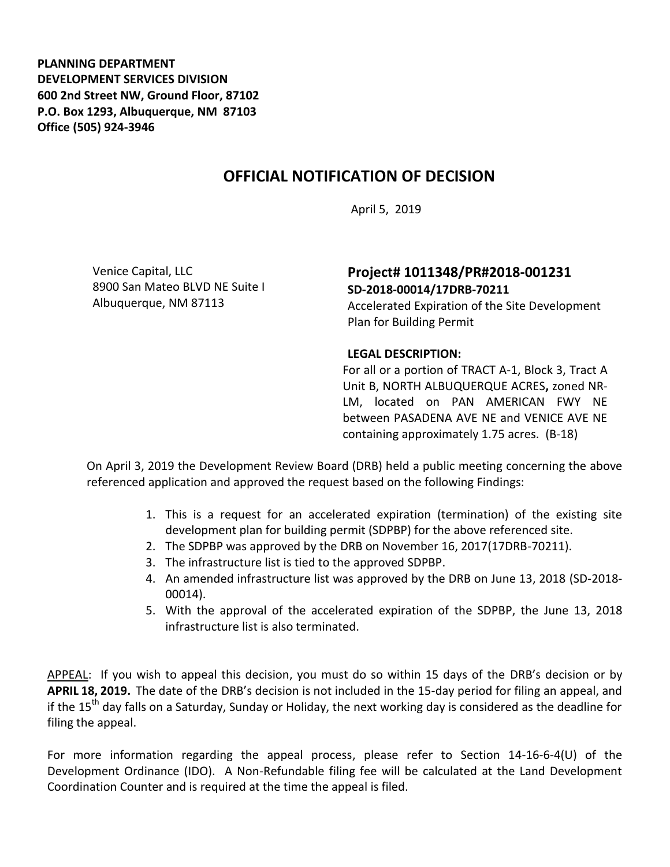**PLANNING DEPARTMENT DEVELOPMENT SERVICES DIVISION 600 2nd Street NW, Ground Floor, 87102 P.O. Box 1293, Albuquerque, NM 87103 Office (505) 924-3946** 

## **OFFICIAL NOTIFICATION OF DECISION**

April 5, 2019

Venice Capital, LLC 8900 San Mateo BLVD NE Suite I Albuquerque, NM 87113

## **Project# 1011348/PR#2018-001231 SD-2018-00014/17DRB-70211**

Accelerated Expiration of the Site Development Plan for Building Permit

## **LEGAL DESCRIPTION:**

For all or a portion of TRACT A-1, Block 3, Tract A Unit B, NORTH ALBUQUERQUE ACRES**,** zoned NR-LM, located on PAN AMERICAN FWY NE between PASADENA AVE NE and VENICE AVE NE containing approximately 1.75 acres. (B-18)

On April 3, 2019 the Development Review Board (DRB) held a public meeting concerning the above referenced application and approved the request based on the following Findings:

- 1. This is a request for an accelerated expiration (termination) of the existing site development plan for building permit (SDPBP) for the above referenced site.
- 2. The SDPBP was approved by the DRB on November 16, 2017(17DRB-70211).
- 3. The infrastructure list is tied to the approved SDPBP.
- 4. An amended infrastructure list was approved by the DRB on June 13, 2018 (SD-2018- 00014).
- 5. With the approval of the accelerated expiration of the SDPBP, the June 13, 2018 infrastructure list is also terminated.

APPEAL: If you wish to appeal this decision, you must do so within 15 days of the DRB's decision or by **APRIL 18, 2019.** The date of the DRB's decision is not included in the 15-day period for filing an appeal, and if the 15<sup>th</sup> day falls on a Saturday, Sunday or Holiday, the next working day is considered as the deadline for filing the appeal.

For more information regarding the appeal process, please refer to Section 14-16-6-4(U) of the Development Ordinance (IDO). A Non-Refundable filing fee will be calculated at the Land Development Coordination Counter and is required at the time the appeal is filed.